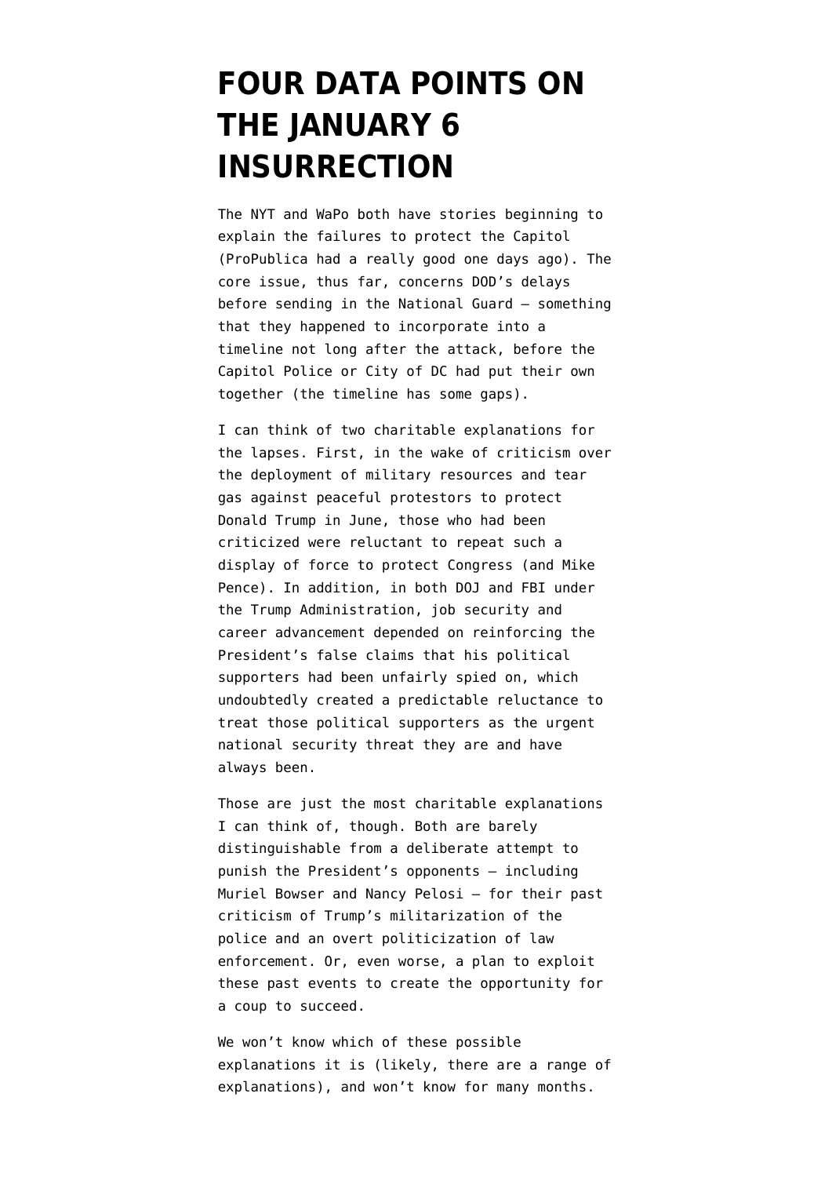# **[FOUR DATA POINTS ON](https://www.emptywheel.net/2021/01/11/four-data-points-on-the-january-6-insurrection/) [THE JANUARY 6](https://www.emptywheel.net/2021/01/11/four-data-points-on-the-january-6-insurrection/) [INSURRECTION](https://www.emptywheel.net/2021/01/11/four-data-points-on-the-january-6-insurrection/)**

The [NYT](https://www.nytimes.com/2021/01/10/us/politics/capitol-siege-security.html) and [WaPo](https://www.washingtonpost.com/politics/sund-riot-national-guard/2021/01/10/fc2ce7d4-5384-11eb-a817-e5e7f8a406d6_story.html) both have stories beginning to explain the failures to protect the Capitol ([ProPublica had a really good one](https://www.propublica.org/article/before-mob-stormed-the-capitol-days-of-security-planning-involved-cabinet-officials-and-president-trump) days ago). The core issue, thus far, concerns DOD's delays before sending in the National Guard — something that they happened to incorporate into a [timeline](https://media.defense.gov/2021/Jan/08/2002562063/-1/-1/1/PLANNING-AND-EXECUTION-TIMELINE-FOR-THE-NATIONAL-GUARDS-INVOLVEMENT-IN-THE-JANUARY-6-2021-FIRST-AMENDMENT-PROTESTS-IN-WASHINGTON-DC.pdf) not long after the attack, before the Capitol Police or City of DC had put their own together (the timeline has some gaps).

I can think of two charitable explanations for the lapses. First, in the wake of [criticism over](https://abcnews.go.com/Politics/ag-barr-ordered-protesters-cleared-park-trump-visit/story?id=71026258) [the deployment of military resources](https://abcnews.go.com/Politics/ag-barr-ordered-protesters-cleared-park-trump-visit/story?id=71026258) and tear gas against peaceful protestors to protect Donald Trump in June, those who had been criticized were reluctant to repeat such a display of force to protect Congress (and Mike Pence). In addition, in both DOJ and FBI under the Trump Administration, job security and career advancement depended on reinforcing the President's false claims that his political supporters had been unfairly spied on, which undoubtedly created a predictable reluctance to treat those political supporters as the urgent national security threat they are and have always been.

Those are just the most charitable explanations I can think of, though. Both are barely distinguishable from a deliberate attempt to punish the President's opponents — including Muriel Bowser and Nancy Pelosi — for their past criticism of Trump's militarization of the police and an overt politicization of law enforcement. Or, even worse, a plan to exploit these past events to create the opportunity for a coup to succeed.

We won't know which of these possible explanations it is (likely, there are a range of explanations), and won't know for many months.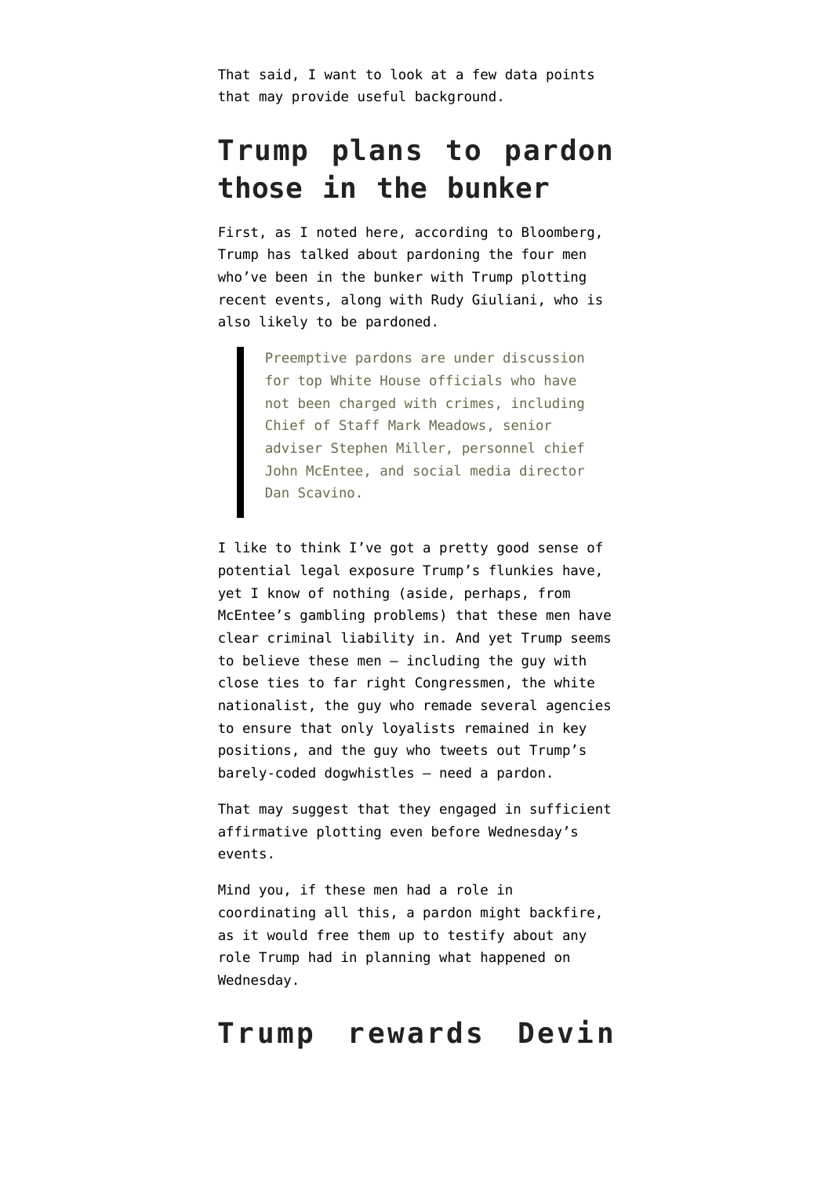That said, I want to look at a few data points that may provide useful background.

#### **Trump plans to pardon those in the bunker**

First, as [I noted here](https://www.emptywheel.net/2021/01/08/bunker-trumps-exposure-in-the-insurrection-makes-pardonpalooza-more-complicated/), [according to Bloomberg,](https://www.bloomberg.com/news/articles/2021-01-07/trump-prepares-pardon-list-for-aides-and-kin-and-maybe-himself) Trump has talked about pardoning the four men who've been in the bunker with Trump plotting recent events, along with Rudy Giuliani, who is also likely to be pardoned.

Preemptive pardons are under discussion for top White House officials who have not been charged with crimes, including Chief of Staff Mark Meadows, senior adviser Stephen Miller, personnel chief John McEntee, and social media director Dan Scavino.

I like to think I've got a pretty good sense of potential legal exposure Trump's flunkies have, yet I know of nothing (aside, perhaps, from McEntee's gambling problems) that these men have clear criminal liability in. And yet Trump seems to believe these men — including the guy with close ties to far right Congressmen, the white nationalist, the guy who remade several agencies to ensure that only loyalists remained in key positions, and the guy who tweets out Trump's barely-coded dogwhistles — need a pardon.

That may suggest that they engaged in sufficient affirmative plotting even before Wednesday's events.

Mind you, if these men had a role in coordinating all this, a pardon might backfire, as it would free them up to testify about any role Trump had in planning what happened on Wednesday.

#### **Trump rewards Devin**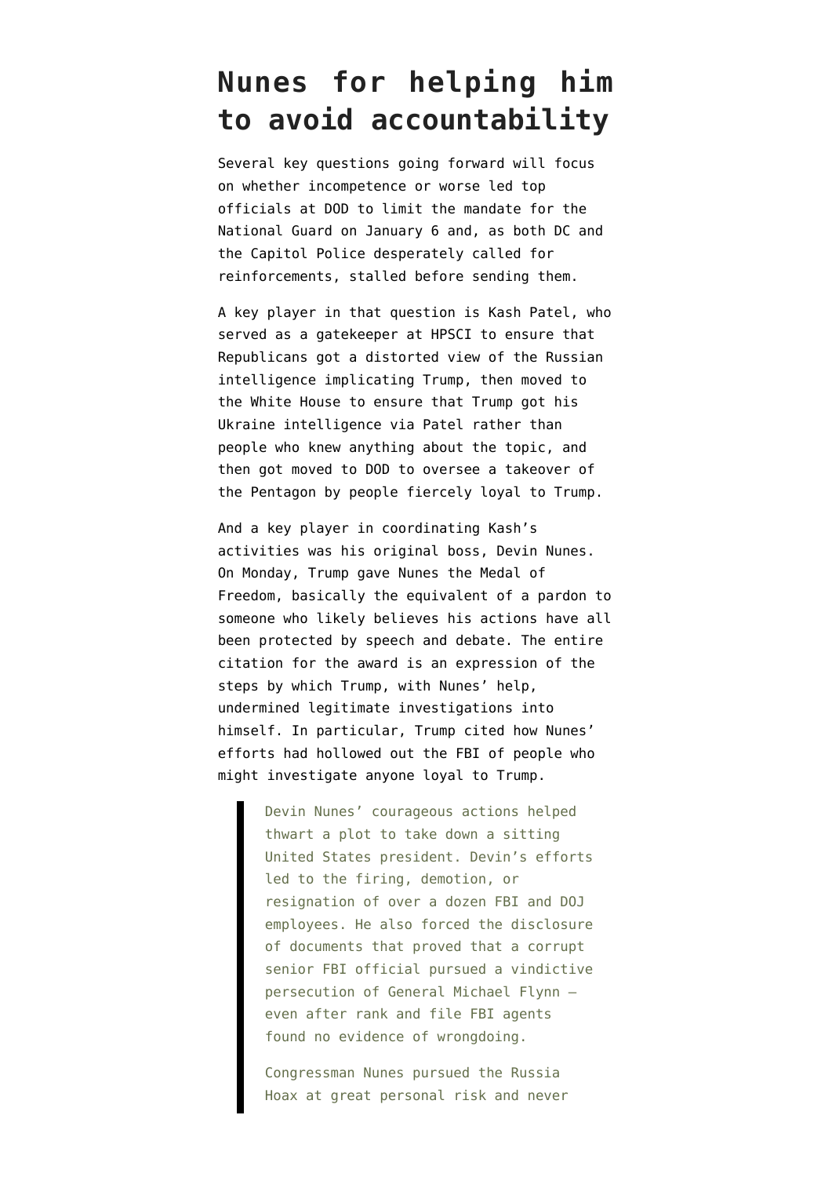#### **Nunes for helping him to avoid accountability**

Several key questions going forward will focus on whether incompetence or worse led top officials at DOD to limit the mandate for the National Guard on January 6 and, as both DC and the Capitol Police desperately called for reinforcements, stalled before sending them.

A key player in that question is Kash Patel, who served as a gatekeeper at HPSCI to ensure that Republicans got a distorted view of the Russian intelligence implicating Trump, then moved to the White House to ensure that Trump got his Ukraine intelligence via Patel rather than people who knew anything about the topic, and then got moved to DOD to oversee a takeover of the Pentagon by people fiercely loyal to Trump.

And a key player in coordinating Kash's activities was his original boss, Devin Nunes. On Monday, Trump [gave](https://www.whitehouse.gov/briefings-statements/president-donald-j-trump-award-medal-freedom-devin-nunes/) Nunes the Medal of Freedom, basically the equivalent of a pardon to someone who likely believes his actions have all been protected by speech and debate. The entire citation for the award is an expression of the steps by which Trump, with Nunes' help, undermined legitimate investigations into himself. In particular, Trump cited how Nunes' efforts had hollowed out the FBI of people who might investigate anyone loyal to Trump.

> Devin Nunes' courageous actions helped thwart a plot to take down a sitting United States president. Devin's efforts led to the firing, demotion, or resignation of over a dozen FBI and DOJ employees. He also forced the disclosure of documents that proved that a corrupt senior FBI official pursued a vindictive persecution of General Michael Flynn even after rank and file FBI agents found no evidence of wrongdoing.

Congressman Nunes pursued the Russia Hoax at great personal risk and never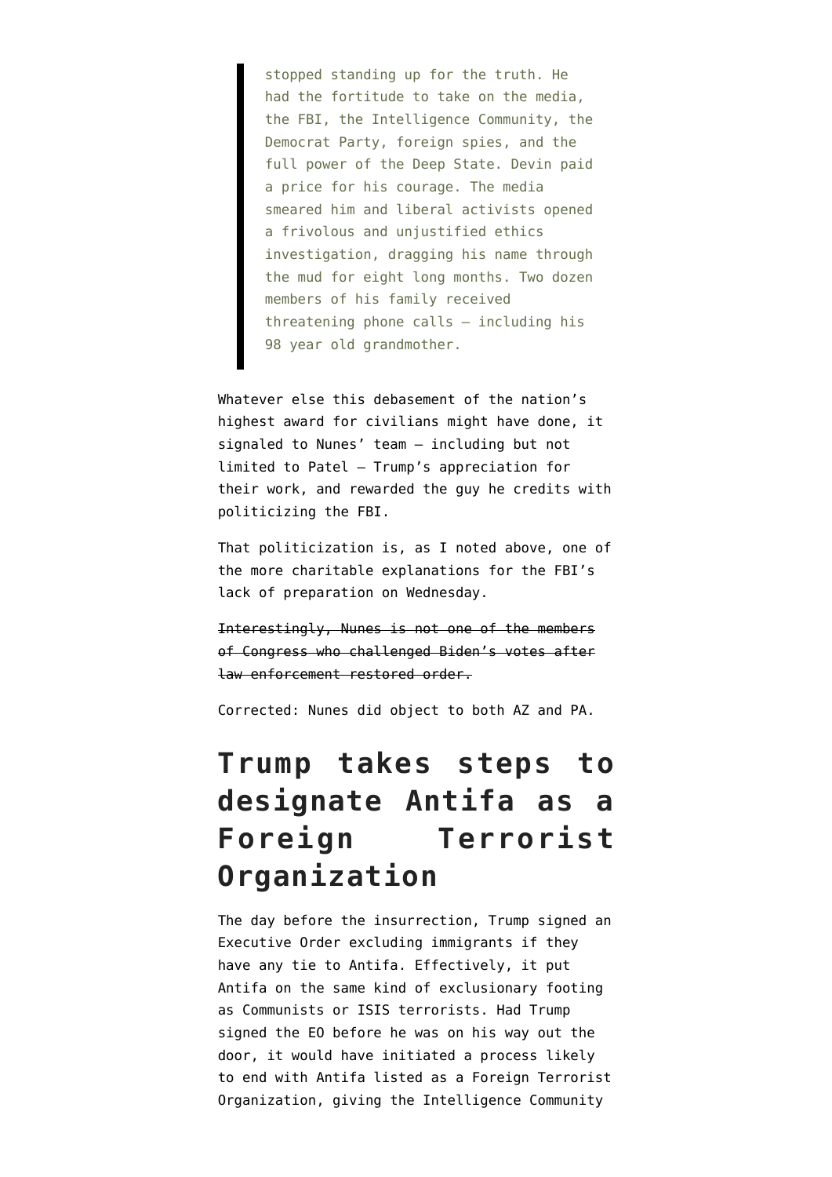stopped standing up for the truth. He had the fortitude to take on the media, the FBI, the Intelligence Community, the Democrat Party, foreign spies, and the full power of the Deep State. Devin paid a price for his courage. The media smeared him and liberal activists opened a frivolous and unjustified ethics investigation, dragging his name through the mud for eight long months. Two dozen members of his family received threatening phone calls – including his 98 year old grandmother.

Whatever else this debasement of the nation's highest award for civilians might have done, it signaled to Nunes' team — including but not limited to Patel — Trump's appreciation for their work, and rewarded the guy he credits with politicizing the FBI.

That politicization is, as I noted above, one of the more charitable explanations for the FBI's lack of preparation on Wednesday.

Interestingly, Nunes is not one of the members of Congress who challenged Biden's votes after law enforcement restored order.

Corrected: Nunes did object to both AZ and PA.

### **Trump takes steps to designate Antifa as a Foreign Terrorist Organization**

The day before the insurrection, Trump [signed an](https://www.whitehouse.gov/presidential-actions/memorandum-inadmissibility-persons-affiliated-antifa-based-organized-criminal-activity/) [Executive Order](https://www.whitehouse.gov/presidential-actions/memorandum-inadmissibility-persons-affiliated-antifa-based-organized-criminal-activity/) excluding immigrants if they have any tie to Antifa. Effectively, it put Antifa on the same kind of exclusionary footing as Communists or ISIS terrorists. Had Trump signed the EO before he was on his way out the door, it would have initiated a process likely to end with Antifa listed as a Foreign Terrorist Organization, giving the Intelligence Community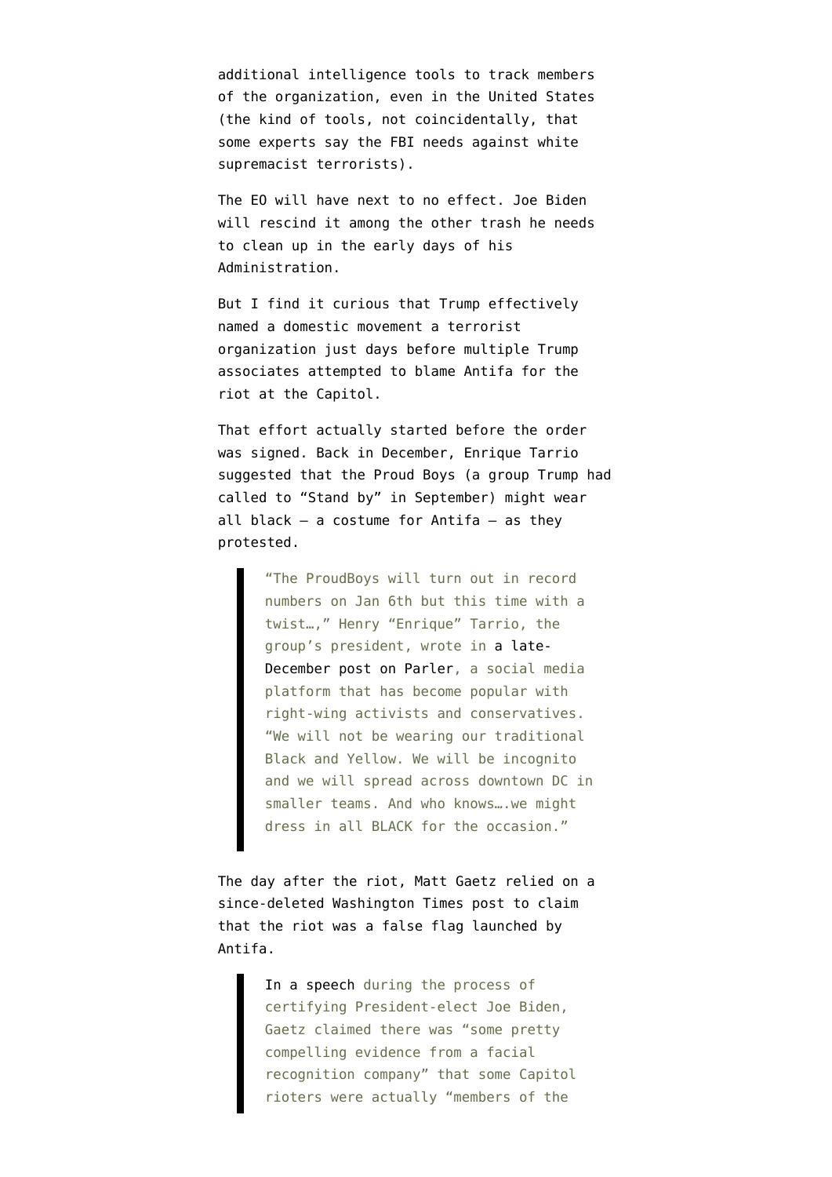additional intelligence tools to track members of the organization, even in the United States (the kind of tools, not coincidentally, that some experts say the FBI needs against white supremacist terrorists).

The EO will have next to no effect. Joe Biden will rescind it among the other trash he needs to clean up in the early days of his Administration.

But I find it curious that Trump effectively named a domestic movement a terrorist organization just days before multiple Trump associates attempted to blame Antifa for the riot at the Capitol.

That effort actually started before the order was signed. Back in December, Enrique Tarrio [suggested](https://www.propublica.org/article/several-well-known-hate-groups-identified-at-capitol-riot) that the Proud Boys (a group Trump had called to "Stand by" in September) might wear all black  $-$  a costume for Antifa  $-$  as they protested.

> "The ProudBoys will turn out in record numbers on Jan 6th but this time with a twist…," Henry "Enrique" Tarrio, the group's president, wrote in [a late-](https://parler.com/post/c741b78505a54150bdf63d079952e8f0)[December post on Parler,](https://parler.com/post/c741b78505a54150bdf63d079952e8f0) a social media platform that has become popular with right-wing activists and conservatives. "We will not be wearing our traditional Black and Yellow. We will be incognito and we will spread across downtown DC in smaller teams. And who knows... we might dress in all BLACK for the occasion."

The day after the riot, Matt Gaetz [relied on a](https://www.theverge.com/2021/1/7/22218601/matt-gaetz-antifa-capitol-hill-riot-xrvision-facial-recognition-washington-times-story-false) [since-deleted Washington Times post to claim](https://www.theverge.com/2021/1/7/22218601/matt-gaetz-antifa-capitol-hill-riot-xrvision-facial-recognition-washington-times-story-false) that the riot was a false flag launched by Antifa.

> [In a speech](https://youtu.be/jQ0ok4iJ25s?t=7859) during the process of certifying President-elect Joe Biden, Gaetz claimed there was "some pretty compelling evidence from a facial recognition company" that some Capitol rioters were actually "members of the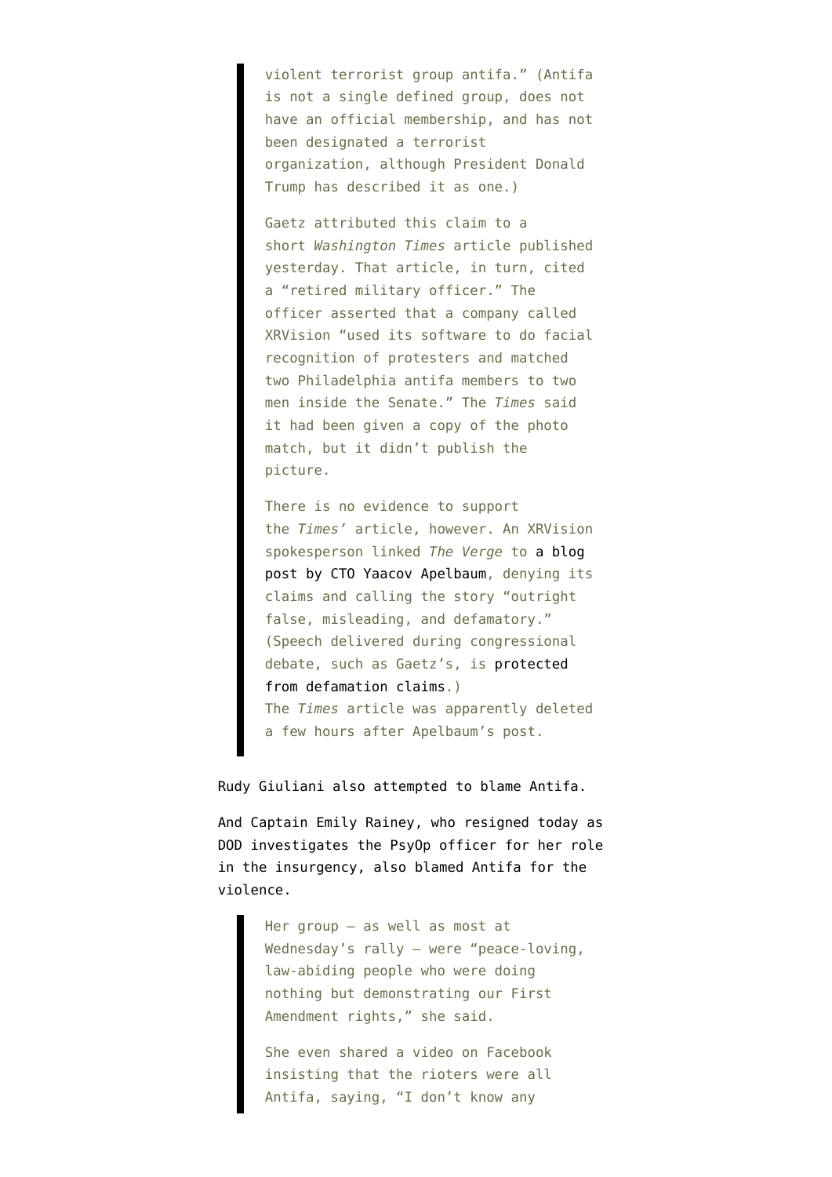violent terrorist group antifa." (Antifa is not a single defined group, does not have an official membership, and has not been designated a terrorist organization, although President Donald Trump has described it as one.)

Gaetz attributed this claim to a short *Washington Times* article published yesterday. That article, in turn, cited a "retired military officer." The officer asserted that a company called XRVision "used its software to do facial recognition of protesters and matched two Philadelphia antifa members to two men inside the Senate." The *Times* said it had been given a copy of the photo match, but it didn't publish the picture.

There is no evidence to support the *Times'* article, however. An XRVision spokesperson linked *The Verge* to [a blog](https://apelbaum.wordpress.com/2021/01/07/statement-about-the-washington-times-false-claim-that-xrvision-detected-antifa-in-the-capital-building-riots/) [post by CTO Yaacov Apelbaum](https://apelbaum.wordpress.com/2021/01/07/statement-about-the-washington-times-false-claim-that-xrvision-detected-antifa-in-the-capital-building-riots/), denying its claims and calling the story "outright false, misleading, and defamatory." (Speech delivered during congressional debate, such as Gaetz's, is [protected](https://library.cqpress.com/cqresearcher/document.php?id=cqresrre1952042500) [from defamation claims.](https://library.cqpress.com/cqresearcher/document.php?id=cqresrre1952042500)) The *Times* article was apparently deleted a few hours after Apelbaum's post.

Rudy Giuliani also attempted to blame Antifa.

And Captain Emily Rainey, who [resigned today](https://www.cbsnews.com/news/emily-rainey-fort-bragg-captain-resigngs-washington-rally-army-investigating/) as DOD [investigates the PsyOp officer](https://nypost.com/2021/01/11/army-investigating-officer-who-led-group-to-deadly-dc-riots/) for her role in the insurgency, also blamed Antifa for the violence.

> Her group — as well as most at Wednesday's rally — were "peace-loving, law-abiding people who were doing nothing but demonstrating our First Amendment rights," she said.

She even shared a video on Facebook insisting that the rioters were all Antifa, saying, "I don't know any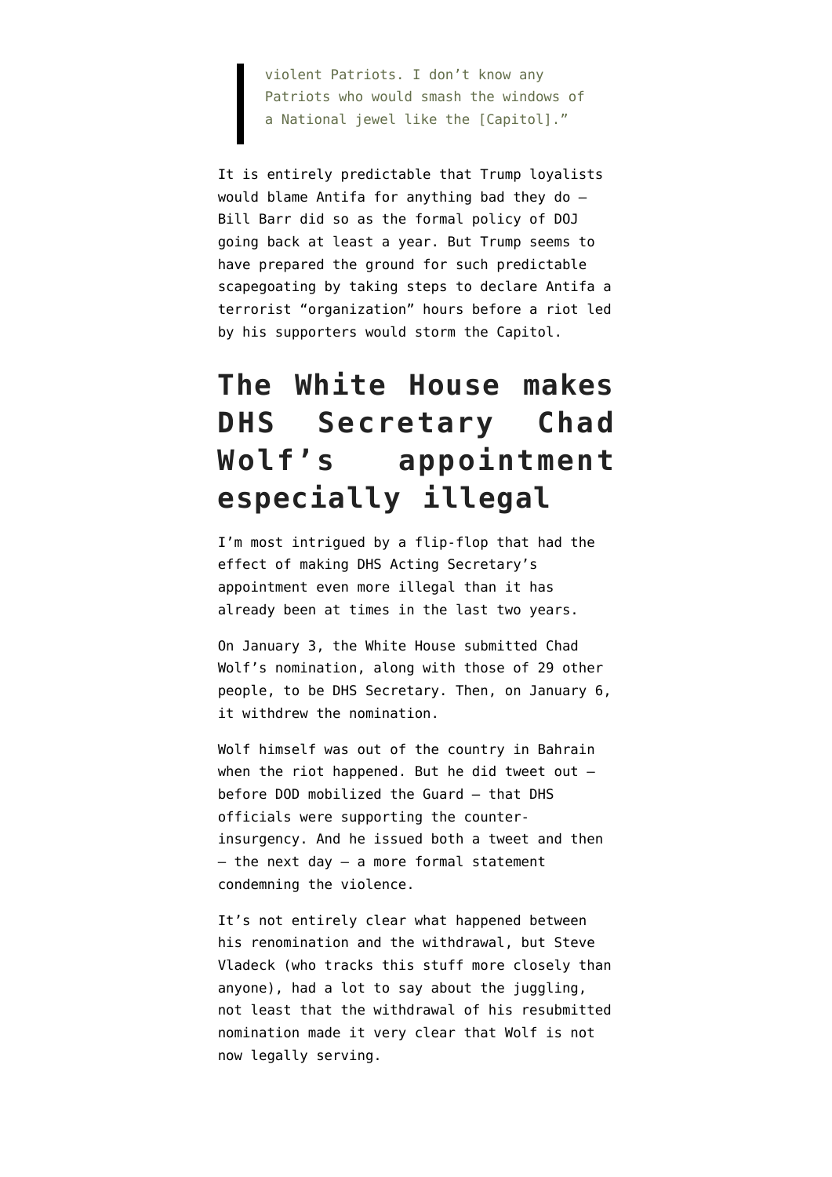violent Patriots. I don't know any Patriots who would smash the windows of a National jewel like the [Capitol]."

It is entirely predictable that Trump loyalists would blame Antifa for anything bad they do — Bill Barr did so as the formal policy of DOJ going back at least a year. But Trump seems to have prepared the ground for such predictable scapegoating by taking steps to declare Antifa a terrorist "organization" hours before a riot led by his supporters would storm the Capitol.

## **The White House makes DHS Secretary Chad Wolf's appointment especially illegal**

I'm most intrigued by a flip-flop that had the effect of making DHS Acting Secretary's appointment even more illegal than it has already been at times in the last two years.

On January 3, the White House [submitted](https://www.whitehouse.gov/presidential-actions/thirty-nominations-sent-senate/) Chad Wolf's nomination, along with those of 29 other people, to be DHS Secretary. Then, on January 6, it [withdrew the nomination.](https://www.congress.gov/nomination/117th-congress/22)

Wolf himself was [out of the country](https://twitter.com/DHS_Wolf/status/1346831332706545665) in Bahrain when the riot happened. But he did [tweet out](https://twitter.com/DHS_Wolf/status/1346923282986119174)  $$ before DOD mobilized the Guard — that DHS officials were supporting the counterinsurgency. And he issued both a [tweet](https://twitter.com/DHS_Wolf/status/1346914071564734464) and then  $-$  the next day  $-$  [a more formal statement](https://twitter.com/DHS_Wolf/status/1347198235820122113) condemning the violence.

It's not entirely clear what happened between his renomination and the withdrawal, but Steve Vladeck (who tracks this stuff more closely than anyone), had [a lot to say about the juggling](https://twitter.com/search?lang=en&q=wolf%20(from%3Asteve_vladeck)%20until%3A2021-01-08%20since%3A2021-01-01&src=typed_query), not least that the withdrawal of his resubmitted nomination [made it very clear](https://twitter.com/steve_vladeck/status/1347279020384268288) that Wolf is not now legally serving.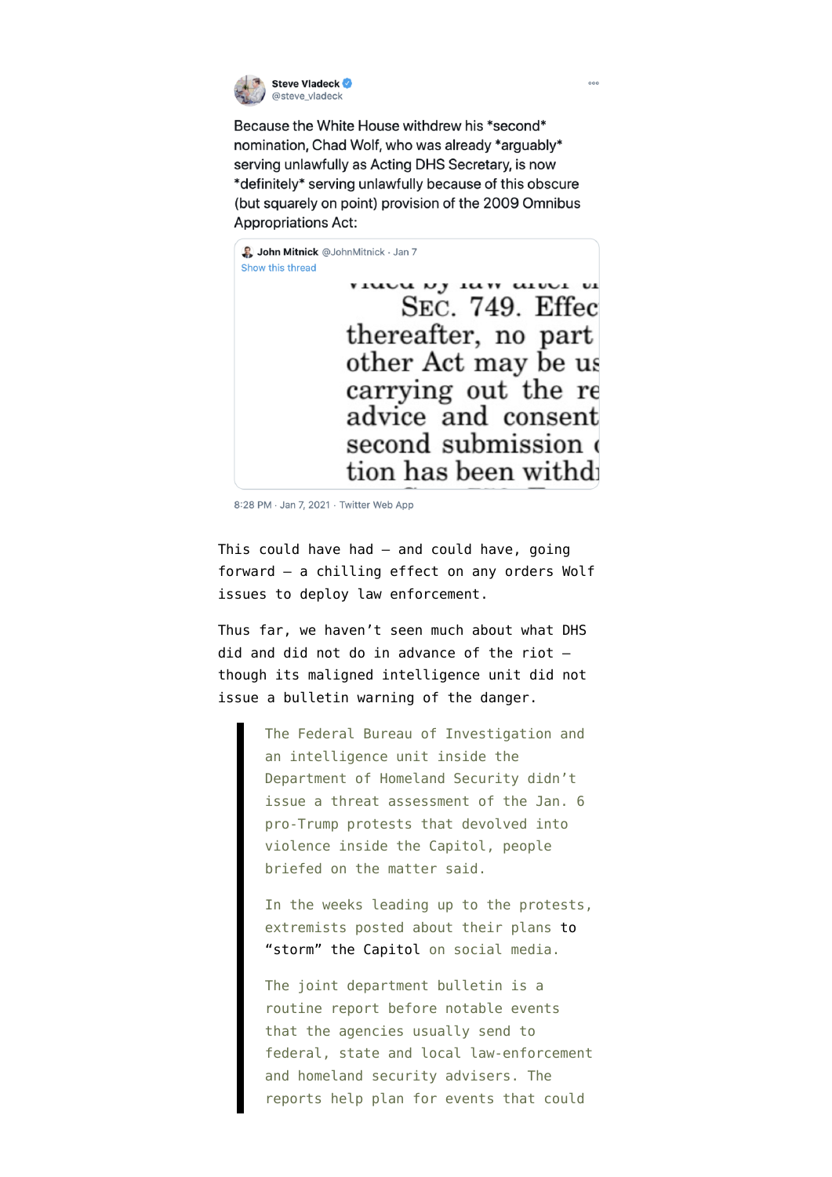

Because the White House withdrew his \*second\* nomination, Chad Wolf, who was already \*arguably\* serving unlawfully as Acting DHS Secretary, is now \*definitely\* serving unlawfully because of this obscure (but squarely on point) provision of the 2009 Omnibus **Appropriations Act:** 

Show this thread VILLUM NY ILITY LILULI UI SEC. 749. Effec thereafter, no part other Act may be us carrying out the re advice and consent second submission tion has been withd

8:28 PM · Jan 7, 2021 · Twitter Web App

John Mitnick @JohnMitnick · Jan 7

This could have had — and could have, going forward — a chilling effect on any orders Wolf issues to deploy law enforcement.

Thus far, we haven't seen much about what DHS did and did not do in advance of the riot though its maligned intelligence unit [did not](https://www.wsj.com/livecoverage/biden-trump-electoral-college-certification-congress/card/rghQKMAF2ju2wkrUlcj1) [issue](https://www.wsj.com/livecoverage/biden-trump-electoral-college-certification-congress/card/rghQKMAF2ju2wkrUlcj1) a bulletin warning of the danger.

> The Federal Bureau of Investigation and an intelligence unit inside the Department of Homeland Security didn't issue a threat assessment of the Jan. 6 pro-Trump protests that devolved into violence inside the Capitol, people briefed on the matter said.

In the weeks leading up to the protests, extremists posted about their plans [to](https://www.wsj.com/livecoverage/biden-trump-electoral-college-certification-congress/card/x1dwwPqnJM1XfQh5LaUj) ["storm" the Capitol](https://www.wsj.com/livecoverage/biden-trump-electoral-college-certification-congress/card/x1dwwPqnJM1XfQh5LaUj) on social media.

The joint department bulletin is a routine report before notable events that the agencies usually send to federal, state and local law-enforcement and homeland security advisers. The reports help plan for events that could